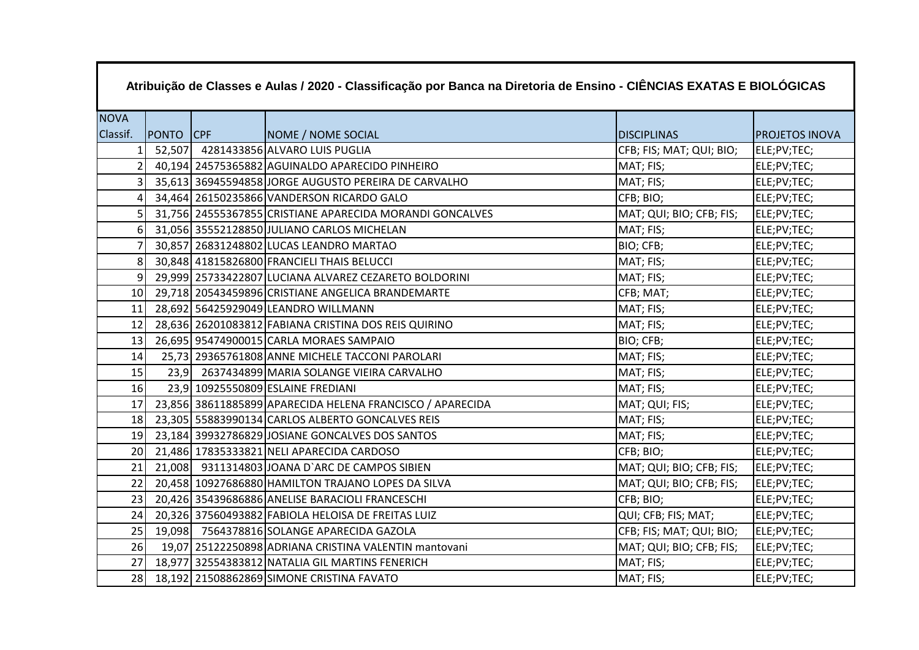| Atribuição de Classes e Aulas / 2020 - Classificação por Banca na Diretoria de Ensino - CIÊNCIAS EXATAS E BIOLÓGICAS |           |  |                                                           |                          |                       |  |
|----------------------------------------------------------------------------------------------------------------------|-----------|--|-----------------------------------------------------------|--------------------------|-----------------------|--|
| <b>NOVA</b>                                                                                                          |           |  |                                                           |                          |                       |  |
| Classif.                                                                                                             | PONTO CPF |  | NOME / NOME SOCIAL                                        | <b>DISCIPLINAS</b>       | <b>PROJETOS INOVA</b> |  |
| 1                                                                                                                    |           |  | 52,507 4281433856 ALVARO LUIS PUGLIA                      | CFB; FIS; MAT; QUI; BIO; | ELE;PV;TEC;           |  |
|                                                                                                                      |           |  | 40,194 24575365882 AGUINALDO APARECIDO PINHEIRO           | MAT; FIS;                | ELE;PV;TEC;           |  |
| $\overline{3}$                                                                                                       |           |  | 35,613 36945594858 JORGE AUGUSTO PEREIRA DE CARVALHO      | MAT; FIS;                | ELE;PV;TEC;           |  |
|                                                                                                                      |           |  | 34,464 26150235866 VANDERSON RICARDO GALO                 | CFB; BIO;                | ELE;PV;TEC;           |  |
| 5 <sup>1</sup>                                                                                                       |           |  | 31,756 24555367855 CRISTIANE APARECIDA MORANDI GONCALVES  | MAT; QUI; BIO; CFB; FIS; | ELE;PV;TEC;           |  |
| 61                                                                                                                   |           |  | 31,056 35552128850 JULIANO CARLOS MICHELAN                | MAT; FIS;                | ELE;PV;TEC;           |  |
|                                                                                                                      |           |  | 30,857 26831248802 LUCAS LEANDRO MARTAO                   | BIO; CFB;                | ELE;PV;TEC;           |  |
| 8 <sup>1</sup>                                                                                                       |           |  | 30,848 41815826800 FRANCIELI THAIS BELUCCI                | MAT; FIS;                | ELE;PV;TEC;           |  |
| 9I                                                                                                                   |           |  | 29,999 25733422807 LUCIANA ALVAREZ CEZARETO BOLDORINI     | MAT; FIS;                | ELE;PV;TEC;           |  |
| 10 <sup>1</sup>                                                                                                      |           |  | 29,718 20543459896 CRISTIANE ANGELICA BRANDEMARTE         | CFB; MAT;                | ELE;PV;TEC;           |  |
| 11                                                                                                                   |           |  | 28,692 56425929049 LEANDRO WILLMANN                       | MAT; FIS;                | ELE;PV;TEC;           |  |
| 12                                                                                                                   |           |  | 28,636 26201083812 FABIANA CRISTINA DOS REIS QUIRINO      | MAT; FIS;                | ELE;PV;TEC;           |  |
| 13                                                                                                                   |           |  | 26,695 95474900015 CARLA MORAES SAMPAIO                   | BIO; CFB;                | ELE;PV;TEC;           |  |
| 14                                                                                                                   |           |  | 25,73 29365761808 ANNE MICHELE TACCONI PAROLARI           | MAT; FIS;                | ELE;PV;TEC;           |  |
| 15                                                                                                                   |           |  | 23,9 2637434899 MARIA SOLANGE VIEIRA CARVALHO             | MAT; FIS;                | ELE;PV;TEC;           |  |
| 16                                                                                                                   |           |  | 23,9 10925550809 ESLAINE FREDIANI                         | MAT; FIS;                | ELE;PV;TEC;           |  |
| 17                                                                                                                   |           |  | 23,856 38611885899 APARECIDA HELENA FRANCISCO / APARECIDA | MAT; QUI; FIS;           | ELE;PV;TEC;           |  |
| 18 <sup>1</sup>                                                                                                      |           |  | 23,305 55883990134 CARLOS ALBERTO GONCALVES REIS          | MAT; FIS;                | ELE;PV;TEC;           |  |
| 19                                                                                                                   |           |  | 23,184 39932786829 JOSIANE GONCALVES DOS SANTOS           | MAT; FIS;                | ELE;PV;TEC;           |  |
| 20 <sup>1</sup>                                                                                                      |           |  | 21,486 17835333821 NELI APARECIDA CARDOSO                 | CFB; BIO;                | ELE;PV;TEC;           |  |
| 21                                                                                                                   |           |  | 21,008 9311314803 JOANA D'ARC DE CAMPOS SIBIEN            | MAT; QUI; BIO; CFB; FIS; | ELE;PV;TEC;           |  |
| 22                                                                                                                   |           |  | 20,458 10927686880 HAMILTON TRAJANO LOPES DA SILVA        | MAT; QUI; BIO; CFB; FIS; | ELE;PV;TEC;           |  |
| 23                                                                                                                   |           |  | 20,426 35439686886 ANELISE BARACIOLI FRANCESCHI           | CFB; BIO;                | ELE;PV;TEC;           |  |
| 24                                                                                                                   |           |  | 20,326 37560493882 FABIOLA HELOISA DE FREITAS LUIZ        | QUI; CFB; FIS; MAT;      | ELE;PV;TEC;           |  |
| 25                                                                                                                   |           |  | 19,098 7564378816 SOLANGE APARECIDA GAZOLA                | CFB; FIS; MAT; QUI; BIO; | ELE;PV;TEC;           |  |
| 26                                                                                                                   |           |  | 19,07 25122250898 ADRIANA CRISTINA VALENTIN mantovani     | MAT; QUI; BIO; CFB; FIS; | ELE;PV;TEC;           |  |
| 27                                                                                                                   |           |  | 18,977 32554383812 NATALIA GIL MARTINS FENERICH           | MAT; FIS;                | ELE;PV;TEC;           |  |
| 28                                                                                                                   |           |  | 18,192 21508862869 SIMONE CRISTINA FAVATO                 | MAT; FIS;                | ELE;PV;TEC;           |  |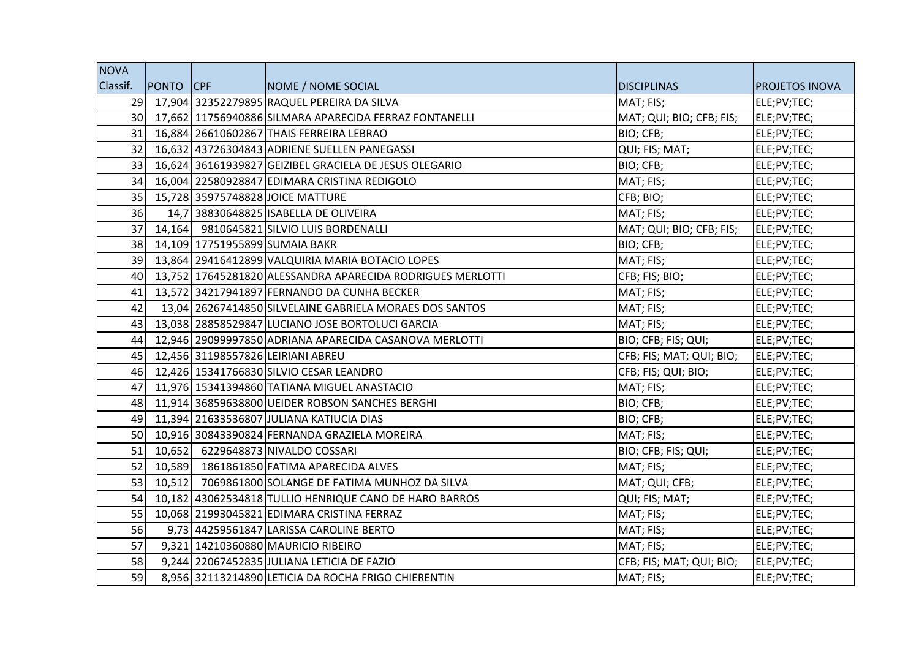| <b>NOVA</b>     |                  |                                                            |                          |                |
|-----------------|------------------|------------------------------------------------------------|--------------------------|----------------|
| Classif.        | <b>PONTO</b> CPF | NOME / NOME SOCIAL                                         | <b>DISCIPLINAS</b>       | PROJETOS INOVA |
| 29              |                  | 17,904 32352279895 RAQUEL PEREIRA DA SILVA                 | MAT; FIS;                | ELE;PV;TEC;    |
| 30 <sup>1</sup> |                  | 17,662 11756940886 SILMARA APARECIDA FERRAZ FONTANELLI     | MAT; QUI; BIO; CFB; FIS; | ELE;PV;TEC;    |
| 31 <sup>1</sup> |                  | 16,884 26610602867 THAIS FERREIRA LEBRAO                   | BIO; CFB;                | ELE;PV;TEC;    |
| 32              |                  | 16,632 43726304843 ADRIENE SUELLEN PANEGASSI               | QUI; FIS; MAT;           | ELE;PV;TEC;    |
| 33              |                  | 16,624 36161939827 GEIZIBEL GRACIELA DE JESUS OLEGARIO     | BIO; CFB;                | ELE;PV;TEC;    |
| 34              |                  | 16,004 22580928847 EDIMARA CRISTINA REDIGOLO               | MAT; FIS;                | ELE;PV;TEC;    |
| 35 <sup>1</sup> |                  | 15,728 35975748828 JOICE MATTURE                           | CFB; BIO;                | ELE;PV;TEC;    |
| 36              |                  | 14,7 38830648825 ISABELLA DE OLIVEIRA                      | MAT; FIS;                | ELE;PV;TEC;    |
| 37              |                  | 14,164 9810645821 SILVIO LUIS BORDENALLI                   | MAT; QUI; BIO; CFB; FIS; | ELE;PV;TEC;    |
| 38              |                  | 14,109 17751955899 SUMAIA BAKR                             | BIO; CFB;                | ELE;PV;TEC;    |
| 39 <sup>1</sup> |                  | 13,864 29416412899 VALQUIRIA MARIA BOTACIO LOPES           | MAT; FIS;                | ELE;PV;TEC;    |
| 40              |                  | 13,752 17645281820 ALESSANDRA APARECIDA RODRIGUES MERLOTTI | CFB; FIS; BIO;           | ELE;PV;TEC;    |
| 41              |                  | 13,572 34217941897 FERNANDO DA CUNHA BECKER                | MAT; FIS;                | ELE;PV;TEC;    |
| 42              |                  | 13,04 26267414850 SILVELAINE GABRIELA MORAES DOS SANTOS    | MAT; FIS;                | ELE;PV;TEC;    |
| 43              |                  | 13,038 28858529847 LUCIANO JOSE BORTOLUCI GARCIA           | MAT; FIS;                | ELE;PV;TEC;    |
| 44              |                  | 12,946 29099997850 ADRIANA APARECIDA CASANOVA MERLOTTI     | BIO; CFB; FIS; QUI;      | ELE;PV;TEC;    |
| 45              |                  | 12,456 31198557826 LEIRIANI ABREU                          | CFB; FIS; MAT; QUI; BIO; | ELE;PV;TEC;    |
| 46              |                  | 12,426 15341766830 SILVIO CESAR LEANDRO                    | CFB; FIS; QUI; BIO;      | ELE;PV;TEC;    |
| 47              |                  | 11,976 15341394860 TATIANA MIGUEL ANASTACIO                | MAT; FIS;                | ELE;PV;TEC;    |
| 48              |                  | 11,914 36859638800 UEIDER ROBSON SANCHES BERGHI            | BIO; CFB;                | ELE;PV;TEC;    |
| 49              |                  | 11,394 21633536807 JULIANA KATIUCIA DIAS                   | BIO; CFB;                | ELE;PV;TEC;    |
| <b>50</b>       |                  | 10,916 30843390824 FERNANDA GRAZIELA MOREIRA               | MAT; FIS;                | ELE;PV;TEC;    |
| 51              |                  | 10,652 6229648873 NIVALDO COSSARI                          | BIO; CFB; FIS; QUI;      | ELE;PV;TEC;    |
| 52              |                  | 10,589 1861861850 FATIMA APARECIDA ALVES                   | MAT; FIS;                | ELE;PV;TEC;    |
| 53              |                  | 10,512 7069861800 SOLANGE DE FATIMA MUNHOZ DA SILVA        | MAT; QUI; CFB;           | ELE;PV;TEC;    |
| 54              |                  | 10,182 43062534818 TULLIO HENRIQUE CANO DE HARO BARROS     | QUI; FIS; MAT;           | ELE;PV;TEC;    |
| 55              |                  | 10,068 21993045821 EDIMARA CRISTINA FERRAZ                 | MAT; FIS;                | ELE;PV;TEC;    |
| 56              |                  | 9,73 44259561847 LARISSA CAROLINE BERTO                    | MAT; FIS;                | ELE;PV;TEC;    |
| 57              |                  | 9,321 14210360880 MAURICIO RIBEIRO                         | MAT; FIS;                | ELE;PV;TEC;    |
| 58              |                  | 9,244 22067452835 JULIANA LETICIA DE FAZIO                 | CFB; FIS; MAT; QUI; BIO; | ELE;PV;TEC;    |
| 59              |                  | 8,956 32113214890 LETICIA DA ROCHA FRIGO CHIERENTIN        | MAT; FIS;                | ELE;PV;TEC;    |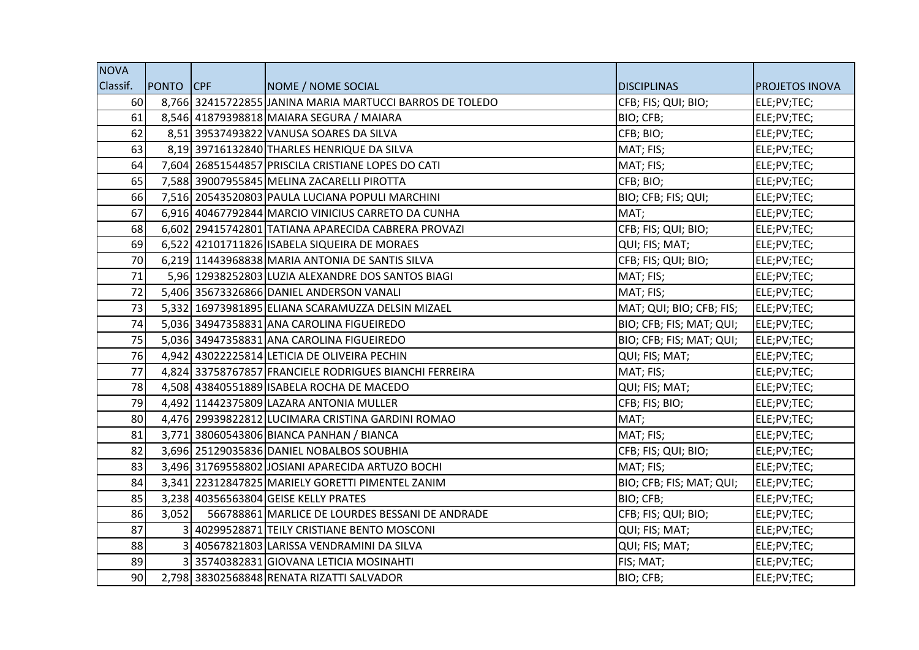| <b>NOVA</b>     |                  |                                                          |                          |                       |
|-----------------|------------------|----------------------------------------------------------|--------------------------|-----------------------|
| Classif.        | <b>PONTO</b> CPF | NOME / NOME SOCIAL                                       | <b>DISCIPLINAS</b>       | <b>PROJETOS INOVA</b> |
| 60              |                  | 8,766 32415722855 JANINA MARIA MARTUCCI BARROS DE TOLEDO | CFB; FIS; QUI; BIO;      | ELE;PV;TEC;           |
| 61              |                  | 8,546 41879398818 MAIARA SEGURA / MAIARA                 | BIO; CFB;                | ELE;PV;TEC;           |
| 62              |                  | 8,51 39537493822 VANUSA SOARES DA SILVA                  | CFB; BIO;                | ELE;PV;TEC;           |
| 63              |                  | 8,19 39716132840 THARLES HENRIQUE DA SILVA               | MAT; FIS;                | ELE;PV;TEC;           |
| 64              |                  | 7,604 26851544857 PRISCILA CRISTIANE LOPES DO CATI       | MAT; FIS;                | ELE;PV;TEC;           |
| 65              |                  | 7,588 39007955845 MELINA ZACARELLI PIROTTA               | CFB; BIO;                | ELE;PV;TEC;           |
| 66              |                  | 7,516 20543520803 PAULA LUCIANA POPULI MARCHINI          | BIO; CFB; FIS; QUI;      | ELE;PV;TEC;           |
| 67              |                  | 6,916 40467792844 MARCIO VINICIUS CARRETO DA CUNHA       | MAT;                     | ELE;PV;TEC;           |
| 68              |                  | 6,602 29415742801 TATIANA APARECIDA CABRERA PROVAZI      | CFB; FIS; QUI; BIO;      | ELE;PV;TEC;           |
| 69              |                  | 6,522 42101711826 ISABELA SIQUEIRA DE MORAES             | QUI; FIS; MAT;           | ELE;PV;TEC;           |
| 70              |                  | 6,219 11443968838 MARIA ANTONIA DE SANTIS SILVA          | CFB; FIS; QUI; BIO;      | ELE;PV;TEC;           |
| 71              |                  | 5,96 12938252803 LUZIA ALEXANDRE DOS SANTOS BIAGI        | MAT; FIS;                | ELE;PV;TEC;           |
| 72              |                  | 5,406 35673326866 DANIEL ANDERSON VANALI                 | MAT; FIS;                | ELE;PV;TEC;           |
| 73              |                  | 5,332 16973981895 ELIANA SCARAMUZZA DELSIN MIZAEL        | MAT; QUI; BIO; CFB; FIS; | ELE;PV;TEC;           |
| 74              |                  | 5,036 34947358831 ANA CAROLINA FIGUEIREDO                | BIO; CFB; FIS; MAT; QUI; | ELE;PV;TEC;           |
| 75              |                  | 5,036 34947358831 ANA CAROLINA FIGUEIREDO                | BIO; CFB; FIS; MAT; QUI; | ELE;PV;TEC;           |
| 76              |                  | 4,942 43022225814 LETICIA DE OLIVEIRA PECHIN             | QUI; FIS; MAT;           | ELE;PV;TEC;           |
| 77              |                  | 4,824 33758767857 FRANCIELE RODRIGUES BIANCHI FERREIRA   | MAT; FIS;                | ELE;PV;TEC;           |
| 78              |                  | 4,508 43840551889 ISABELA ROCHA DE MACEDO                | QUI; FIS; MAT;           | ELE;PV;TEC;           |
| 79              |                  | 4,492 11442375809 LAZARA ANTONIA MULLER                  | CFB; FIS; BIO;           | ELE;PV;TEC;           |
| 80              |                  | 4,476 29939822812 LUCIMARA CRISTINA GARDINI ROMAO        | MAT;                     | ELE;PV;TEC;           |
| 81              |                  | 3,771 38060543806 BIANCA PANHAN / BIANCA                 | MAT; FIS;                | ELE;PV;TEC;           |
| 82              |                  | 3,696 25129035836 DANIEL NOBALBOS SOUBHIA                | CFB; FIS; QUI; BIO;      | ELE;PV;TEC;           |
| 83              |                  | 3,496 31769558802 JOSIANI APARECIDA ARTUZO BOCHI         | MAT; FIS;                | ELE;PV;TEC;           |
| 84              |                  | 3,341 22312847825 MARIELY GORETTI PIMENTEL ZANIM         | BIO; CFB; FIS; MAT; QUI; | ELE;PV;TEC;           |
| 85              |                  | 3,238 40356563804 GEISE KELLY PRATES                     | BIO; CFB;                | ELE;PV;TEC;           |
| 86              | 3,052            | 566788861 MARLICE DE LOURDES BESSANI DE ANDRADE          | CFB; FIS; QUI; BIO;      | ELE;PV;TEC;           |
| 87              |                  | 3 40299528871 TEILY CRISTIANE BENTO MOSCONI              | QUI; FIS; MAT;           | ELE;PV;TEC;           |
| 88              |                  | 40567821803 LARISSA VENDRAMINI DA SILVA                  | QUI; FIS; MAT;           | ELE;PV;TEC;           |
| 89              |                  | 3 35740382831 GIOVANA LETICIA MOSINAHTI                  | FIS; MAT;                | ELE;PV;TEC;           |
| 90 <sub>0</sub> |                  | 2,798 38302568848 RENATA RIZATTI SALVADOR                | BIO; CFB;                | ELE;PV;TEC;           |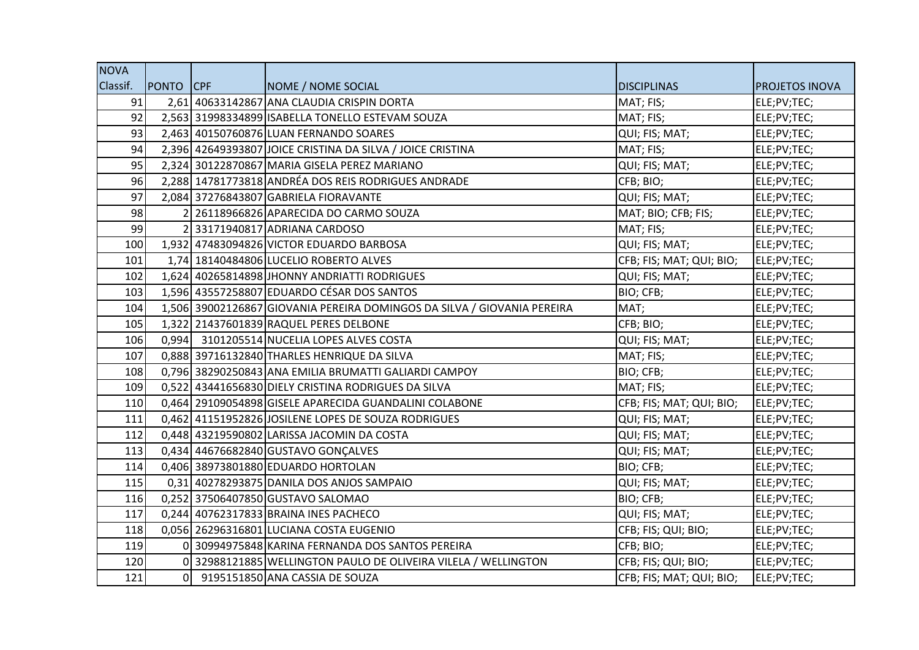| <b>NOVA</b> |                |                                                                         |                          |                       |
|-------------|----------------|-------------------------------------------------------------------------|--------------------------|-----------------------|
| Classif.    | PONTO CPF      | NOME / NOME SOCIAL                                                      | <b>DISCIPLINAS</b>       | <b>PROJETOS INOVA</b> |
| 91          |                | 2,61 40633142867 ANA CLAUDIA CRISPIN DORTA                              | MAT; FIS;                | ELE;PV;TEC;           |
| 92          |                | 2,563 31998334899 ISABELLA TONELLO ESTEVAM SOUZA                        | MAT; FIS;                | ELE;PV;TEC;           |
| 93          |                | 2,463 40150760876 LUAN FERNANDO SOARES                                  | QUI; FIS; MAT;           | ELE;PV;TEC;           |
| 94          |                | 2,396 42649393807 JOICE CRISTINA DA SILVA / JOICE CRISTINA              | MAT; FIS;                | ELE;PV;TEC;           |
| 95          |                | 2,324 30122870867 MARIA GISELA PEREZ MARIANO                            | QUI; FIS; MAT;           | ELE;PV;TEC;           |
| 96          |                | 2,288 14781773818 ANDRÉA DOS REIS RODRIGUES ANDRADE                     | CFB; BIO;                | ELE;PV;TEC;           |
| 97          |                | 2,084 37276843807 GABRIELA FIORAVANTE                                   | QUI; FIS; MAT;           | ELE;PV;TEC;           |
| 98          |                | 2 26118966826 APARECIDA DO CARMO SOUZA                                  | MAT; BIO; CFB; FIS;      | ELE;PV;TEC;           |
| 99          |                | 2 33171940817 ADRIANA CARDOSO                                           | MAT; FIS;                | ELE;PV;TEC;           |
| 100         |                | 1,932 47483094826 VICTOR EDUARDO BARBOSA                                | QUI; FIS; MAT;           | ELE;PV;TEC;           |
| 101         |                | 1,74 18140484806 LUCELIO ROBERTO ALVES                                  | CFB; FIS; MAT; QUI; BIO; | ELE;PV;TEC;           |
| 102         |                | 1,624 40265814898 JHONNY ANDRIATTI RODRIGUES                            | QUI; FIS; MAT;           | ELE;PV;TEC;           |
| 103         |                | 1,596 43557258807 EDUARDO CÉSAR DOS SANTOS                              | BIO; CFB;                | ELE;PV;TEC;           |
| 104         |                | 1,506 39002126867 GIOVANIA PEREIRA DOMINGOS DA SILVA / GIOVANIA PEREIRA | MAT;                     | ELE;PV;TEC;           |
| 105         |                | 1,322 21437601839 RAQUEL PERES DELBONE                                  | CFB; BIO;                | ELE;PV;TEC;           |
| 106         |                | 0,994 3101205514 NUCELIA LOPES ALVES COSTA                              | QUI; FIS; MAT;           | ELE;PV;TEC;           |
| 107         |                | 0,888 39716132840 THARLES HENRIQUE DA SILVA                             | MAT; FIS;                | ELE;PV;TEC;           |
| 108         |                | 0,796 38290250843 ANA EMILIA BRUMATTI GALIARDI CAMPOY                   | BIO; CFB;                | ELE;PV;TEC;           |
| 109         |                | 0,522 43441656830 DIELY CRISTINA RODRIGUES DA SILVA                     | MAT; FIS;                | ELE;PV;TEC;           |
| 110         |                | 0,464 29109054898 GISELE APARECIDA GUANDALINI COLABONE                  | CFB; FIS; MAT; QUI; BIO; | ELE;PV;TEC;           |
| 111         |                | 0,462 41151952826 JOSILENE LOPES DE SOUZA RODRIGUES                     | QUI; FIS; MAT;           | ELE;PV;TEC;           |
| 112         |                | 0,448 43219590802 LARISSA JACOMIN DA COSTA                              | QUI; FIS; MAT;           | ELE;PV;TEC;           |
| 113         |                | 0,434 44676682840 GUSTAVO GONÇALVES                                     | QUI; FIS; MAT;           | ELE;PV;TEC;           |
| 114         |                | 0,406 38973801880 EDUARDO HORTOLAN                                      | BIO; CFB;                | ELE;PV;TEC;           |
| 115         |                | 0,31 40278293875 DANILA DOS ANJOS SAMPAIO                               | QUI; FIS; MAT;           | ELE;PV;TEC;           |
| 116         |                | 0,252 37506407850 GUSTAVO SALOMAO                                       | BIO; CFB;                | ELE;PV;TEC;           |
| 117         |                | 0,244 40762317833 BRAINA INES PACHECO                                   | QUI; FIS; MAT;           | ELE;PV;TEC;           |
| 118         |                | 0,056 26296316801 LUCIANA COSTA EUGENIO                                 | CFB; FIS; QUI; BIO;      | ELE;PV;TEC;           |
| 119         |                | 0 30994975848 KARINA FERNANDA DOS SANTOS PEREIRA                        | CFB; BIO;                | ELE;PV;TEC;           |
| 120         |                | 0 32988121885 WELLINGTON PAULO DE OLIVEIRA VILELA / WELLINGTON          | CFB; FIS; QUI; BIO;      | ELE;PV;TEC;           |
| 121         | $\overline{0}$ | 9195151850 ANA CASSIA DE SOUZA                                          | CFB; FIS; MAT; QUI; BIO; | ELE;PV;TEC;           |